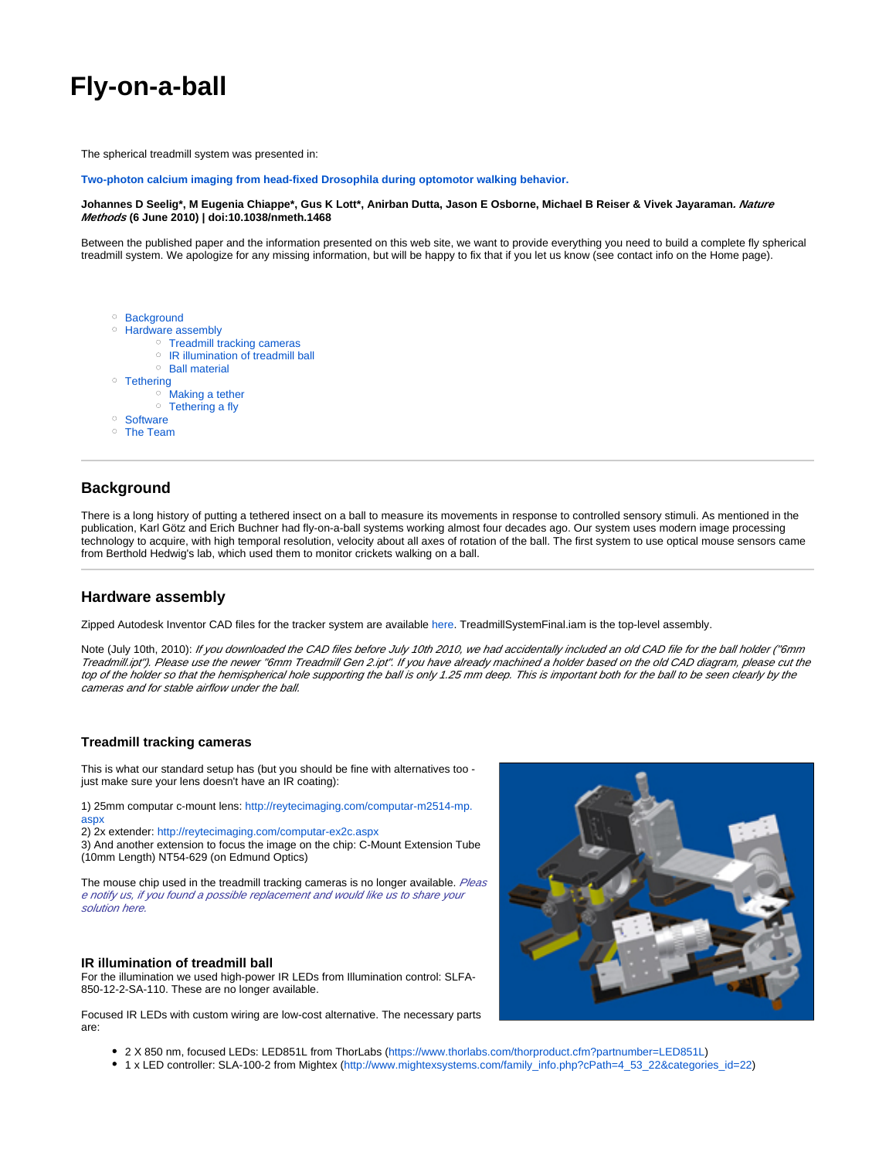# **Fly-on-a-ball**

The spherical treadmill system was presented in:

**[Two-photon calcium imaging from head-fixed Drosophila during optomotor walking behavior.](http://www.nature.com/nmeth/journal/v7/n7/full/nmeth.1468.html)**

#### **Johannes D Seelig\*, M Eugenia Chiappe\*, Gus K Lott\*, Anirban Dutta, Jason E Osborne, Michael B Reiser & Vivek Jayaraman. Nature Methods (6 June 2010) | doi:10.1038/nmeth.1468**

Between the published paper and the information presented on this web site, we want to provide everything you need to build a complete fly spherical treadmill system. We apologize for any missing information, but will be happy to fix that if you let us know (see contact info on the Home page).

<sup>o</sup> [Background](#page-0-0) <sup>o</sup> [Hardware assembly](#page-0-1) <sup>o</sup> [Treadmill tracking cameras](#page-0-2) <sup>o</sup> [IR illumination of treadmill ball](#page-0-3) <sup>o</sup> [Ball material](#page-1-0) o Tethering [Making a tether](#page-1-2) <sup>o</sup> [Tethering a fly](#page-1-3) <sup>o</sup> [Software](#page-1-4) [The Team](#page-1-5)

# <span id="page-0-0"></span>**Background**

There is a long history of putting a tethered insect on a ball to measure its movements in response to controlled sensory stimuli. As mentioned in the publication, Karl Götz and Erich Buchner had fly-on-a-ball systems working almost four decades ago. Our system uses modern image processing technology to acquire, with high temporal resolution, velocity about all axes of rotation of the ball. The first system to use optical mouse sensors came from Berthold Hedwig's lab, which used them to monitor crickets walking on a ball.

## <span id="page-0-1"></span>**Hardware assembly**

Zipped Autodesk Inventor CAD files for the tracker system are available [here](https://wiki.janelia.org/wiki/download/attachments/4152362/BallTrackerSetupCADFiles.zip?version=1&modificationDate=1278812151000&api=v2). TreadmillSystemFinal.iam is the top-level assembly.

Note (July 10th, 2010): If you downloaded the CAD files before July 10th 2010, we had accidentally included an old CAD file for the ball holder ("6mm Treadmill.ipt"). Please use the newer "6mm Treadmill Gen 2.ipt". If you have already machined a holder based on the old CAD diagram, please cut the top of the holder so that the hemispherical hole supporting the ball is only 1.25 mm deep. This is important both for the ball to be seen clearly by the cameras and for stable airflow under the ball.

### <span id="page-0-2"></span>**Treadmill tracking cameras**

This is what our standard setup has (but you should be fine with alternatives too just make sure your lens doesn't have an IR coating):

1) 25mm computar c-mount lens: [http://reytecimaging.com/computar-m2514-mp.](http://reytecimaging.com/computar-m2514-mp.aspx) [aspx](http://reytecimaging.com/computar-m2514-mp.aspx)

2) 2x extender: <http://reytecimaging.com/computar-ex2c.aspx>

3) And another extension to focus the image on the chip: C-Mount Extension Tube (10mm Length) NT54-629 (on Edmund Optics)

The mouse chip used in the treadmill tracking cameras is no longer available. Pleas e notify us, if you found a possible replacement and would like us to share your solution here.

#### <span id="page-0-3"></span>**IR illumination of treadmill ball**

For the illumination we used high-power IR LEDs from Illumination control: SLFA-850-12-2-SA-110. These are no longer available.

Focused IR LEDs with custom wiring are low-cost alternative. The necessary parts are:



- 2 X 850 nm, focused LEDs: LED851L from ThorLabs ([https://www.thorlabs.com/thorproduct.cfm?partnumber=LED851L\)](https://www.thorlabs.com/thorproduct.cfm?partnumber=LED851L)
- 1 x LED controller: SLA-100-2 from Mightex [\(http://www.mightexsystems.com/family\\_info.php?cPath=4\\_53\\_22&categories\\_id=22](http://www.mightexsystems.com/family_info.php?cPath=4_53_22&categories_id=22))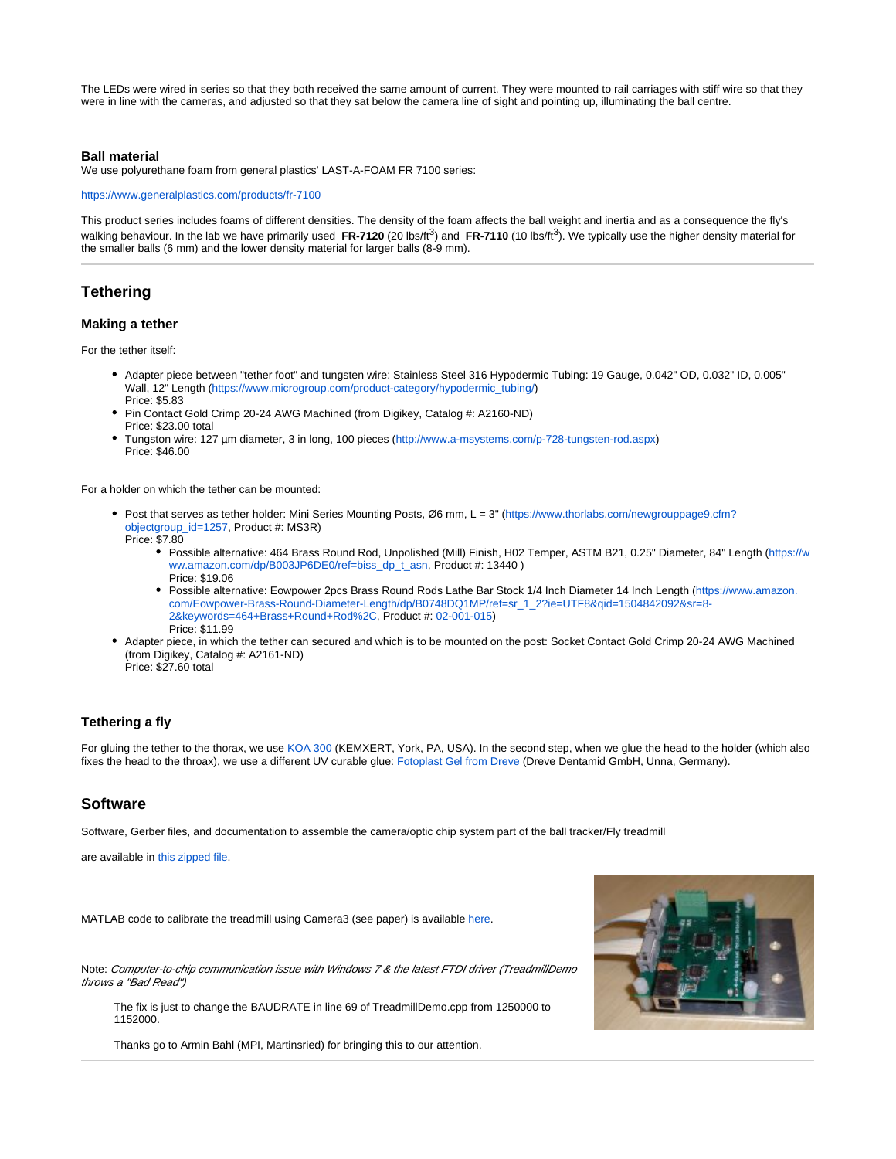The LEDs were wired in series so that they both received the same amount of current. They were mounted to rail carriages with stiff wire so that they were in line with the cameras, and adjusted so that they sat below the camera line of sight and pointing up, illuminating the ball centre.

#### <span id="page-1-0"></span>**Ball material**

We use polyurethane foam from general plastics' LAST-A-FOAM FR 7100 series:

<https://www.generalplastics.com/products/fr-7100>

This product series includes foams of different densities. The density of the foam affects the ball weight and inertia and as a consequence the fly's walking behaviour. In the lab we have primarily used FR-7120 (20 lbs/ft<sup>3</sup>) and FR-7110 (10 lbs/ft<sup>3</sup>). We typically use the higher density material for the smaller balls (6 mm) and the lower density material for larger balls (8-9 mm).

## <span id="page-1-1"></span>**Tethering**

#### <span id="page-1-2"></span>**Making a tether**

For the tether itself:

- Adapter piece between "tether foot" and tungsten wire: Stainless Steel 316 Hypodermic Tubing: 19 Gauge, 0.042" OD, 0.032" ID, 0.005" Wall, 12" Length ([https://www.microgroup.com/product-category/hypodermic\\_tubing/](https://www.microgroup.com/product-category/hypodermic_tubing/)) Price: \$5.83
- Pin Contact Gold Crimp 20-24 AWG Machined (from Digikey, Catalog #: A2160-ND) Price: \$23.00 total
- Tungston wire: 127 µm diameter, 3 in long, 100 pieces (<http://www.a-msystems.com/p-728-tungsten-rod.aspx>) Price: \$46.00

For a holder on which the tether can be mounted:

- Post that serves as tether holder: Mini Series Mounting Posts, Ø6 mm, L = 3" ([https://www.thorlabs.com/newgrouppage9.cfm?](https://www.thorlabs.com/newgrouppage9.cfm?objectgroup_id=1257) [objectgroup\\_id=1257,](https://www.thorlabs.com/newgrouppage9.cfm?objectgroup_id=1257) Product #: MS3R)
	- Price: \$7.80
		- Possible alternative: 464 Brass Round Rod, Unpolished (Mill) Finish, H02 Temper, ASTM B21, 0.25" Diameter, 84" Length ([https://w](https://www.amazon.com/dp/B003JP6DE0/ref=biss_dp_t_asn) [ww.amazon.com/dp/B003JP6DE0/ref=biss\\_dp\\_t\\_asn](https://www.amazon.com/dp/B003JP6DE0/ref=biss_dp_t_asn), Product #: 13440 ) Price: \$19.06
		- Possible alternative: Eowpower 2pcs Brass Round Rods Lathe Bar Stock 1/4 Inch Diameter 14 Inch Length ([https://www.amazon.](https://www.amazon.com/Eowpower-Brass-Round-Diameter-Length/dp/B0748DQ1MP/ref=sr_1_2?ie=UTF8&qid=1504842092&sr=8-2&keywords=464+Brass+Round+Rod%2C) [com/Eowpower-Brass-Round-Diameter-Length/dp/B0748DQ1MP/ref=sr\\_1\\_2?ie=UTF8&qid=1504842092&sr=8-](https://www.amazon.com/Eowpower-Brass-Round-Diameter-Length/dp/B0748DQ1MP/ref=sr_1_2?ie=UTF8&qid=1504842092&sr=8-2&keywords=464+Brass+Round+Rod%2C) [2&keywords=464+Brass+Round+Rod%2C,](https://www.amazon.com/Eowpower-Brass-Round-Diameter-Length/dp/B0748DQ1MP/ref=sr_1_2?ie=UTF8&qid=1504842092&sr=8-2&keywords=464+Brass+Round+Rod%2C) Product #: [02-001-015](tel://02-001-015)) Price: \$11.99
- Adapter piece, in which the tether can secured and which is to be mounted on the post: Socket Contact Gold Crimp 20-24 AWG Machined (from Digikey, Catalog #: A2161-ND) Price: \$27.60 total

#### <span id="page-1-3"></span>**Tethering a fly**

For gluing the tether to the thorax, we use [KOA 300](http://www.mountainglass.com/Kemxert-300-UV-Glue-1oz.html#.WVP1iBPyvdQ) (KEMXERT, York, PA, USA). In the second step, when we glue the head to the holder (which also fixes the head to the throax), we use a different UV curable glue: [Fotoplast Gel from Dreve](http://www.lightningenterprises.com/msds_sheets/DreveFotoplastGelTransparent.pdf) (Dreve Dentamid GmbH, Unna, Germany).

## <span id="page-1-4"></span>**Software**

Software, Gerber files, and documentation to assemble the camera/optic chip system part of the ball tracker/Fly treadmill

are available in [this zipped file.](https://wiki.janelia.org/wiki/download/attachments/4152362/TreadmillDoc.zip?version=1&modificationDate=1275782765000&api=v2)

MATLAB code to calibrate the treadmill using Camera3 (see paper) is available [here](https://wiki.janelia.org/wiki/download/attachments/4152362/corr_calibrate.m?version=1&modificationDate=1275784046000&api=v2).

Note: Computer-to-chip communication issue with Windows 7 & the latest FTDI driver (TreadmillDemo throws a "Bad Read")

The fix is just to change the BAUDRATE in line 69 of TreadmillDemo.cpp from 1250000 to 1152000.

<span id="page-1-5"></span>Thanks go to Armin Bahl (MPI, Martinsried) for bringing this to our attention.